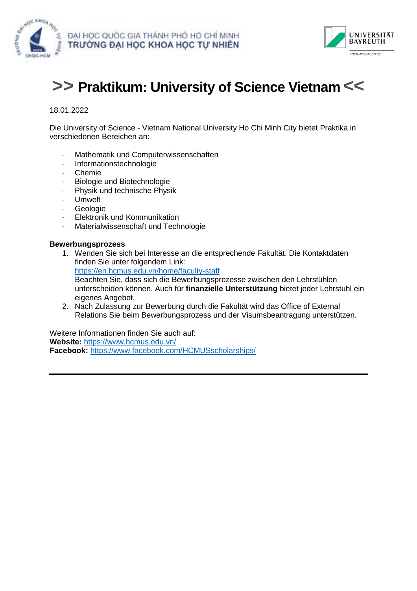



# **>> Praktikum: University of Science Vietnam <<**

## 18.01.2022

Die University of Science - Vietnam National University Ho Chi Minh City bietet Praktika in verschiedenen Bereichen an:

- Mathematik und Computerwissenschaften
- Informationstechnologie
- Chemie
- Biologie und Biotechnologie
- Physik und technische Physik
- **Umwelt**
- **Geologie**
- Elektronik und Kommunikation
- Materialwissenschaft und Technologie

#### **Bewerbungsprozess**

- 1. Wenden Sie sich bei Interesse an die entsprechende Fakultät. Die Kontaktdaten finden Sie unter folgendem Link: <https://en.hcmus.edu.vn/home/faculty-staff> Beachten Sie, dass sich die Bewerbungsprozesse zwischen den Lehrstühlen unterscheiden können. Auch für **finanzielle Unterstützung** bietet jeder Lehrstuhl ein eigenes Angebot.
- 2. Nach Zulassung zur Bewerbung durch die Fakultät wird das Office of External Relations Sie beim Bewerbungsprozess und der Visumsbeantragung unterstützen.

Weitere Informationen finden Sie auch auf: **Website:** <https://www.hcmus.edu.vn/> **Facebook:** <https://www.facebook.com/HCMUSscholarships/>